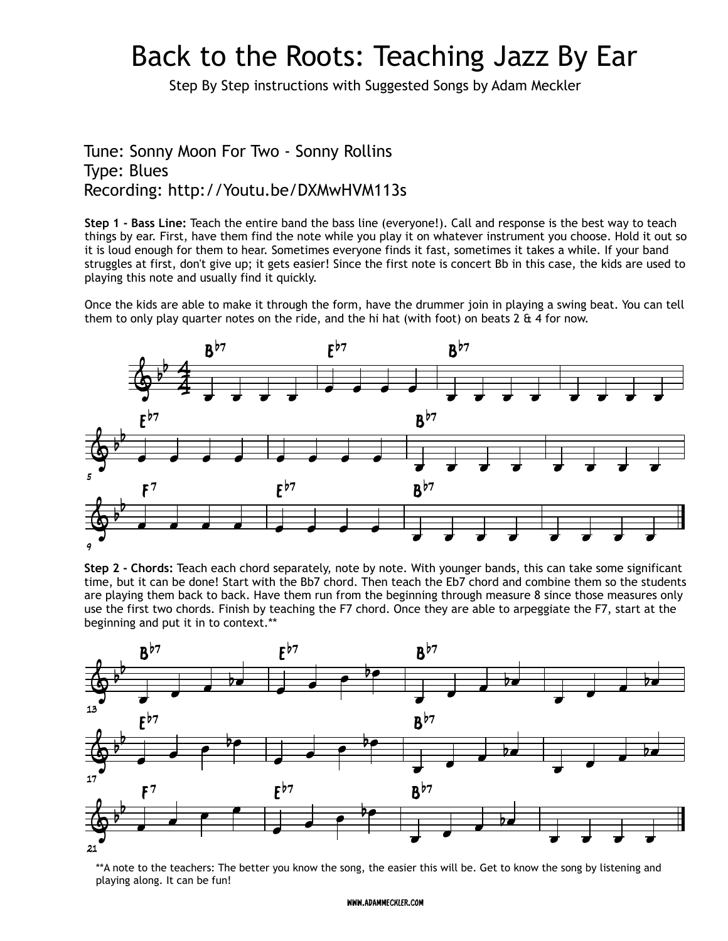## Back to the Roots: Teaching Jazz By Ear

Step By Step instructions with Suggested Songs by Adam Meckler

## Tune: Sonny Moon For Two - Sonny Rollins Type: Blues Recording: http://Youtu.be/DXMwHVM113s

**Step 1 - Bass Line:** Teach the entire band the bass line (everyone!). Call and response is the best way to teach things by ear. First, have them find the note while you play it on whatever instrument you choose. Hold it out so it is loud enough for them to hear. Sometimes everyone finds it fast, sometimes it takes a while. If your band struggles at first, don't give up; it gets easier! Since the first note is concert Bb in this case, the kids are used to playing this note and usually find it quickly.

Once the kids are able to make it through the form, have the drummer join in playing a swing beat. You can tell them to only play quarter notes on the ride, and the hi hat (with foot) on beats 2  $\&$  4 for now.







\*\*A note to the teachers: The better you know the song, the easier this will be. Get to know the song by listening and playing along. It can be fun!

## www.adammeckler.com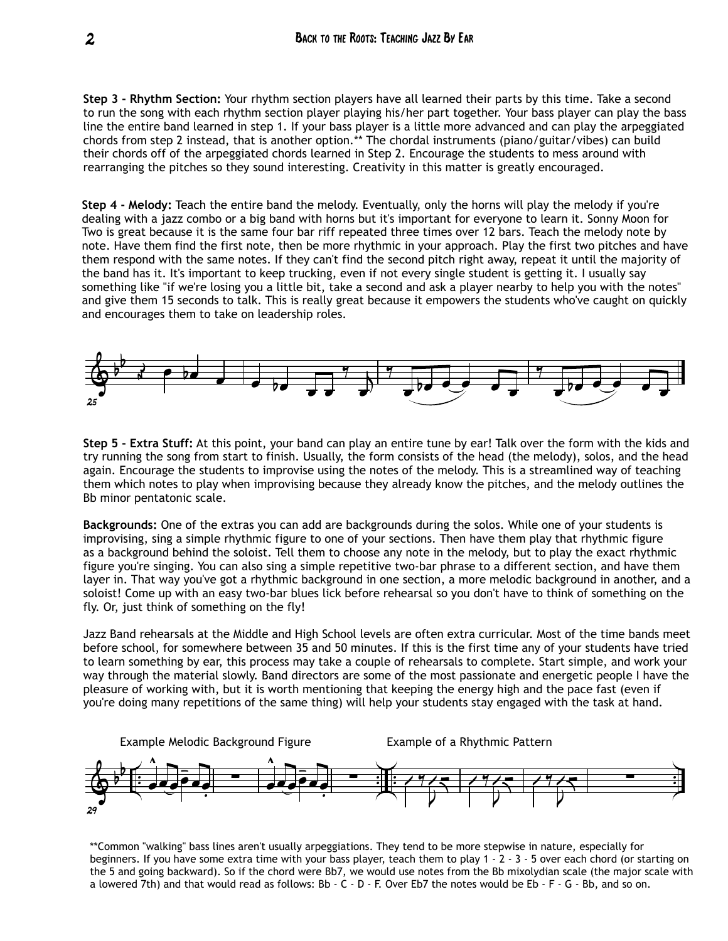**Step 3 - Rhythm Section:** Your rhythm section players have all learned their parts by this time. Take a second to run the song with each rhythm section player playing his/her part together. Your bass player can play the bass line the entire band learned in step 1. If your bass player is a little more advanced and can play the arpeggiated chords from step 2 instead, that is another option.\*\* The chordal instruments (piano/guitar/vibes) can build their chords off of the arpeggiated chords learned in Step 2. Encourage the students to mess around with rearranging the pitches so they sound interesting. Creativity in this matter is greatly encouraged.

**Step 4 - Melody:** Teach the entire band the melody. Eventually, only the horns will play the melody if you're dealing with a jazz combo or a big band with horns but it's important for everyone to learn it. Sonny Moon for Two is great because it is the same four bar riff repeated three times over 12 bars. Teach the melody note by note. Have them find the first note, then be more rhythmic in your approach. Play the first two pitches and have them respond with the same notes. If they can't find the second pitch right away, repeat it until the majority of the band has it. It's important to keep trucking, even if not every single student is getting it. I usually say something like "if we're losing you a little bit, take a second and ask a player nearby to help you with the notes" and give them 15 seconds to talk. This is really great because it empowers the students who've caught on quickly and encourages them to take on leadership roles.



**Step 5 - Extra Stuff:** At this point, your band can play an entire tune by ear! Talk over the form with the kids and try running the song from start to finish. Usually, the form consists of the head (the melody), solos, and the head again. Encourage the students to improvise using the notes of the melody. This is a streamlined way of teaching them which notes to play when improvising because they already know the pitches, and the melody outlines the Bb minor pentatonic scale.

**Backgrounds:** One of the extras you can add are backgrounds during the solos. While one of your students is improvising, sing a simple rhythmic figure to one of your sections. Then have them play that rhythmic figure as a background behind the soloist. Tell them to choose any note in the melody, but to play the exact rhythmic figure you're singing. You can also sing a simple repetitive two-bar phrase to a different section, and have them layer in. That way you've got a rhythmic background in one section, a more melodic background in another, and a soloist! Come up with an easy two-bar blues lick before rehearsal so you don't have to think of something on the fly. Or, just think of something on the fly!

Jazz Band rehearsals at the Middle and High School levels are often extra curricular. Most of the time bands meet before school, for somewhere between 35 and 50 minutes. If this is the first time any of your students have tried to learn something by ear, this process may take a couple of rehearsals to complete. Start simple, and work your way through the material slowly. Band directors are some of the most passionate and energetic people I have the pleasure of working with, but it is worth mentioning that keeping the energy high and the pace fast (even if you're doing many repetitions of the same thing) will help your students stay engaged with the task at hand.



\*\*Common "walking" bass lines aren't usually arpeggiations. They tend to be more stepwise in nature, especially for beginners. If you have some extra time with your bass player, teach them to play 1 - 2 - 3 - 5 over each chord (or starting on the 5 and going backward). So if the chord were Bb7, we would use notes from the Bb mixolydian scale (the major scale with a lowered 7th) and that would read as follows: Bb - C - D - F. Over Eb7 the notes would be Eb - F - G - Bb, and so on.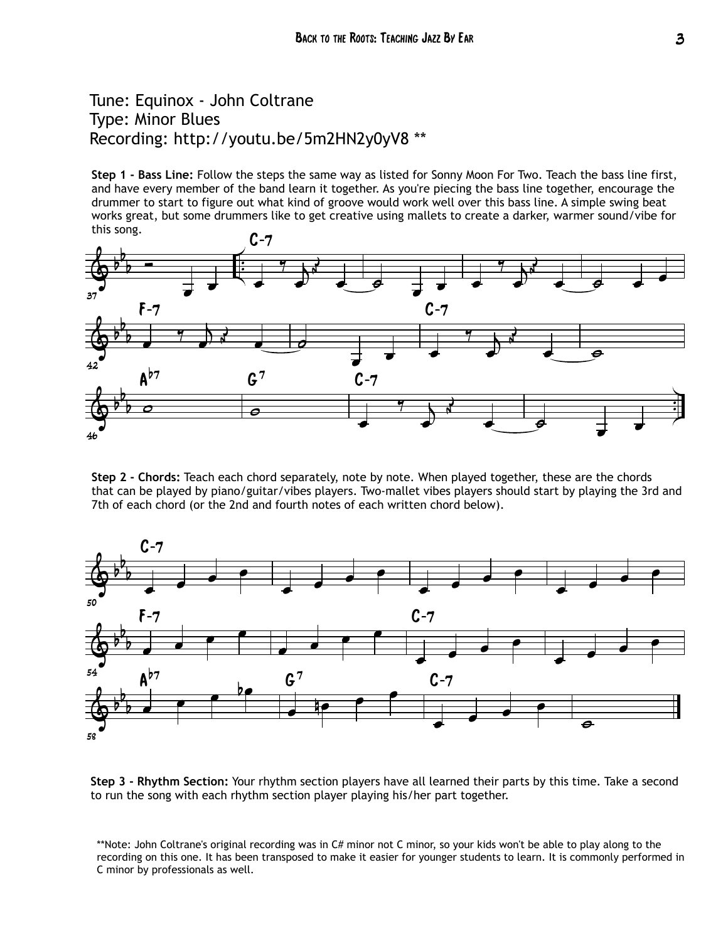## Tune: Equinox - John Coltrane Type: Minor Blues Recording: http://youtu.be/5m2HN2y0yV8 \*\*

**Step 1 - Bass Line:** Follow the steps the same way as listed for Sonny Moon For Two. Teach the bass line first, and have every member of the band learn it together. As you're piecing the bass line together, encourage the drummer to start to figure out what kind of groove would work well over this bass line. A simple swing beat works great, but some drummers like to get creative using mallets to create a darker, warmer sound/vibe for this song.



**Step 2 - Chords:** Teach each chord separately, note by note. When played together, these are the chords that can be played by piano/guitar/vibes players. Two-mallet vibes players should start by playing the 3rd and 7th of each chord (or the 2nd and fourth notes of each written chord below).



**Step 3 - Rhythm Section:** Your rhythm section players have all learned their parts by this time. Take a second to run the song with each rhythm section player playing his/her part together.

\*\*Note: John Coltrane's original recording was in C# minor not C minor, so your kids won't be able to play along to the recording on this one. It has been transposed to make it easier for younger students to learn. It is commonly performed in C minor by professionals as well.